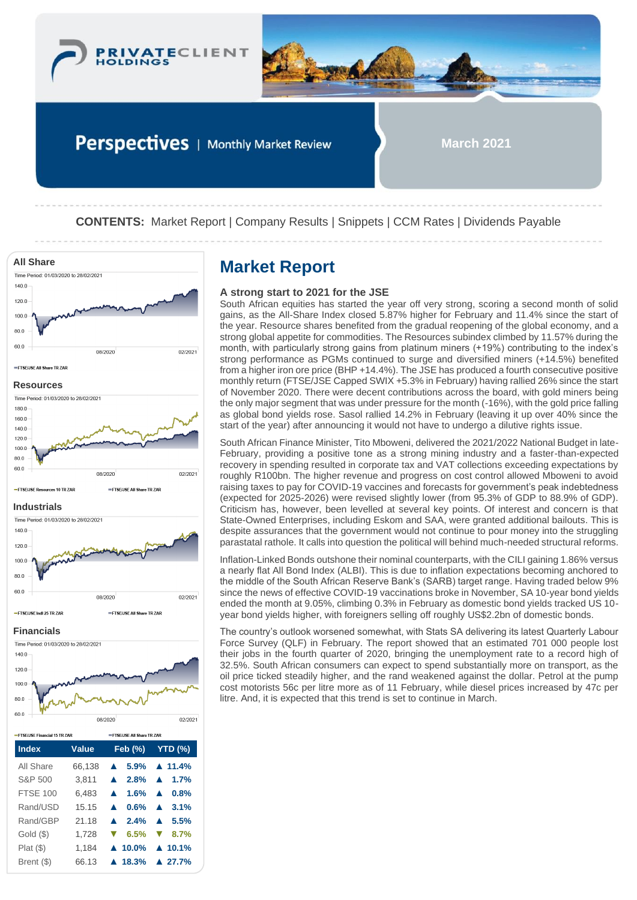



Perspectives | Monthly Market Review

**March 2021**

**CONTENTS:** Market Report | Company Results | Snippets | CCM Rates | Dividends Payable



| -FTSF/JSF Financial 15 TR ZAR |        | =FTSFLISE All Share TR ZAR        |                                               |  |  |
|-------------------------------|--------|-----------------------------------|-----------------------------------------------|--|--|
| <b>Index</b>                  | Value  | $\mathsf{Feb}(\%)$                | YTD (%)                                       |  |  |
| All Share                     | 66,138 | 5.9%<br>$\blacktriangle$          | $\triangle$ 11.4%                             |  |  |
| S&P 500                       | 3.811  | $\triangle$ 2.8% $\triangle$ 1.7% |                                               |  |  |
| <b>FTSE 100</b>               | 6.483  | $1.6\%$                           | 0.8%<br>$\blacktriangle$                      |  |  |
| Rand/USD                      | 15.15  | 0.6%                              | $\triangle$ 3.1%                              |  |  |
| Rand/GBP                      | 21 18  | $\triangle$ 2.4%                  | 5.5%<br>$\blacktriangle$                      |  |  |
| Gold (\$)                     | 1,728  | 6.5%                              | $\blacktriangledown$<br>8.7%                  |  |  |
| Plat(S)                       | 1.184  |                                   | $\blacktriangle$ 10.0% $\blacktriangle$ 10.1% |  |  |
| Brent (\$)                    | 66.13  | $\triangle$ 18.3%                 | $\triangle$ 27.7%                             |  |  |

## **A strong start to 2021 for the JSE**

South African equities has started the year off very strong, scoring a second month of solid gains, as the All-Share Index closed 5.87% higher for February and 11.4% since the start of the year. Resource shares benefited from the gradual reopening of the global economy, and a strong global appetite for commodities. The Resources subindex climbed by 11.57% during the month, with particularly strong gains from platinum miners (+19%) contributing to the index's strong performance as PGMs continued to surge and diversified miners (+14.5%) benefited from a higher iron ore price (BHP +14.4%). The JSE has produced a fourth consecutive positive monthly return (FTSE/JSE Capped SWIX +5.3% in February) having rallied 26% since the start of November 2020. There were decent contributions across the board, with gold miners being the only major segment that was under pressure for the month (-16%), with the gold price falling as global bond yields rose. Sasol rallied 14.2% in February (leaving it up over 40% since the start of the year) after announcing it would not have to undergo a dilutive rights issue.

South African Finance Minister, Tito Mboweni, delivered the 2021/2022 National Budget in late-February, providing a positive tone as a strong mining industry and a faster-than-expected recovery in spending resulted in corporate tax and VAT collections exceeding expectations by roughly R100bn. The higher revenue and progress on cost control allowed Mboweni to avoid raising taxes to pay for COVID-19 vaccines and forecasts for government's peak indebtedness (expected for 2025-2026) were revised slightly lower (from 95.3% of GDP to 88.9% of GDP). Criticism has, however, been levelled at several key points. Of interest and concern is that State-Owned Enterprises, including Eskom and SAA, were granted additional bailouts. This is despite assurances that the government would not continue to pour money into the struggling parastatal rathole. It calls into question the political will behind much-needed structural reforms.

Inflation-Linked Bonds outshone their nominal counterparts, with the CILI gaining 1.86% versus a nearly flat All Bond Index (ALBI). This is due to inflation expectations becoming anchored to the middle of the South African Reserve Bank's (SARB) target range. Having traded below 9% since the news of effective COVID-19 vaccinations broke in November, SA 10-year bond yields ended the month at 9.05%, climbing 0.3% in February as domestic bond yields tracked US 10 year bond yields higher, with foreigners selling off roughly US\$2.2bn of domestic bonds.

The country's outlook worsened somewhat, with Stats SA delivering its latest Quarterly Labour Force Survey (QLF) in February. The report showed that an estimated 701 000 people lost their jobs in the fourth quarter of 2020, bringing the unemployment rate to a record high of 32.5%. South African consumers can expect to spend substantially more on transport, as the oil price ticked steadily higher, and the rand weakened against the dollar. Petrol at the pump cost motorists 56c per litre more as of 11 February, while diesel prices increased by 47c per litre. And, it is expected that this trend is set to continue in March.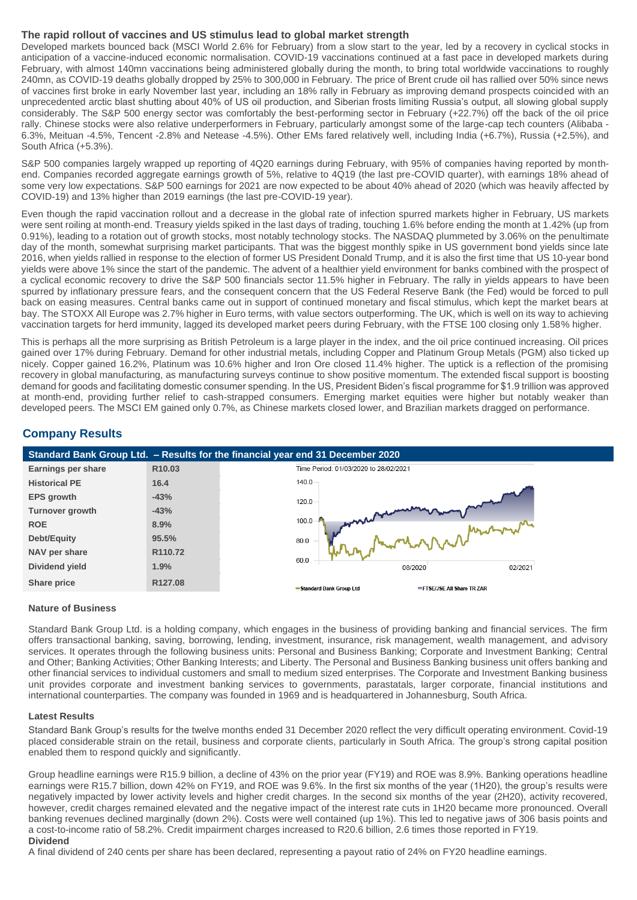# **The rapid rollout of vaccines and US stimulus lead to global market strength**

Developed markets bounced back (MSCI World 2.6% for February) from a slow start to the year, led by a recovery in cyclical stocks in anticipation of a vaccine-induced economic normalisation. COVID-19 vaccinations continued at a fast pace in developed markets during February, with almost 140mn vaccinations being administered globally during the month, to bring total worldwide vaccinations to roughly 240mn, as COVID-19 deaths globally dropped by 25% to 300,000 in February. The price of Brent crude oil has rallied over 50% since news of vaccines first broke in early November last year, including an 18% rally in February as improving demand prospects coincided with an unprecedented arctic blast shutting about 40% of US oil production, and Siberian frosts limiting Russia's output, all slowing global supply considerably. The S&P 500 energy sector was comfortably the best-performing sector in February (+22.7%) off the back of the oil price rally. Chinese stocks were also relative underperformers in February, particularly amongst some of the large-cap tech counters (Alibaba - 6.3%, Meituan -4.5%, Tencent -2.8% and Netease -4.5%). Other EMs fared relatively well, including India (+6.7%), Russia (+2.5%), and South Africa (+5.3%).

S&P 500 companies largely wrapped up reporting of 4Q20 earnings during February, with 95% of companies having reported by monthend. Companies recorded aggregate earnings growth of 5%, relative to 4Q19 (the last pre-COVID quarter), with earnings 18% ahead of some very low expectations. S&P 500 earnings for 2021 are now expected to be about 40% ahead of 2020 (which was heavily affected by COVID-19) and 13% higher than 2019 earnings (the last pre-COVID-19 year).

Even though the rapid vaccination rollout and a decrease in the global rate of infection spurred markets higher in February, US markets were sent roiling at month-end. Treasury yields spiked in the last days of trading, touching 1.6% before ending the month at 1.42% (up from 0.91%), leading to a rotation out of growth stocks, most notably technology stocks. The NASDAQ plummeted by 3.06% on the penultimate day of the month, somewhat surprising market participants. That was the biggest monthly spike in US government bond yields since late 2016, when yields rallied in response to the election of former US President Donald Trump, and it is also the first time that US 10-year bond yields were above 1% since the start of the pandemic. The advent of a healthier yield environment for banks combined with the prospect of a cyclical economic recovery to drive the S&P 500 financials sector 11.5% higher in February. The rally in yields appears to have been spurred by inflationary pressure fears, and the consequent concern that the US Federal Reserve Bank (the Fed) would be forced to pull back on easing measures. Central banks came out in support of continued monetary and fiscal stimulus, which kept the market bears at bay. The STOXX All Europe was 2.7% higher in Euro terms, with value sectors outperforming. The UK, which is well on its way to achieving vaccination targets for herd immunity, lagged its developed market peers during February, with the FTSE 100 closing only 1.58% higher.

This is perhaps all the more surprising as British Petroleum is a large player in the index, and the oil price continued increasing. Oil prices gained over 17% during February. Demand for other industrial metals, including Copper and Platinum Group Metals (PGM) also ticked up nicely. Copper gained 16.2%, Platinum was 10.6% higher and Iron Ore closed 11.4% higher. The uptick is a reflection of the promising recovery in global manufacturing, as manufacturing surveys continue to show positive momentum. The extended fiscal support is boosting demand for goods and facilitating domestic consumer spending. In the US, President Biden's fiscal programme for \$1.9 trillion was approved at month-end, providing further relief to cash-strapped consumers. Emerging market equities were higher but notably weaker than developed peers. The MSCI EM gained only 0.7%, as Chinese markets closed lower, and Brazilian markets dragged on performance.

# **Company Results**



## **Nature of Business**

Standard Bank Group Ltd. is a holding company, which engages in the business of providing banking and financial services. The firm offers transactional banking, saving, borrowing, lending, investment, insurance, risk management, wealth management, and advisory services. It operates through the following business units: Personal and Business Banking; Corporate and Investment Banking; Central and Other; Banking Activities; Other Banking Interests; and Liberty. The Personal and Business Banking business unit offers banking and other financial services to individual customers and small to medium sized enterprises. The Corporate and Investment Banking business unit provides corporate and investment banking services to governments, parastatals, larger corporate, financial institutions and international counterparties. The company was founded in 1969 and is headquartered in Johannesburg, South Africa.

#### **Latest Results**

Standard Bank Group's results for the twelve months ended 31 December 2020 reflect the very difficult operating environment. Covid-19 placed considerable strain on the retail, business and corporate clients, particularly in South Africa. The group's strong capital position enabled them to respond quickly and significantly.

Group headline earnings were R15.9 billion, a decline of 43% on the prior year (FY19) and ROE was 8.9%. Banking operations headline earnings were R15.7 billion, down 42% on FY19, and ROE was 9.6%. In the first six months of the year (1H20), the group's results were negatively impacted by lower activity levels and higher credit charges. In the second six months of the year (2H20), activity recovered, however, credit charges remained elevated and the negative impact of the interest rate cuts in 1H20 became more pronounced. Overall banking revenues declined marginally (down 2%). Costs were well contained (up 1%). This led to negative jaws of 306 basis points and a cost-to-income ratio of 58.2%. Credit impairment charges increased to R20.6 billion, 2.6 times those reported in FY19. **Dividend**

A final dividend of 240 cents per share has been declared, representing a payout ratio of 24% on FY20 headline earnings.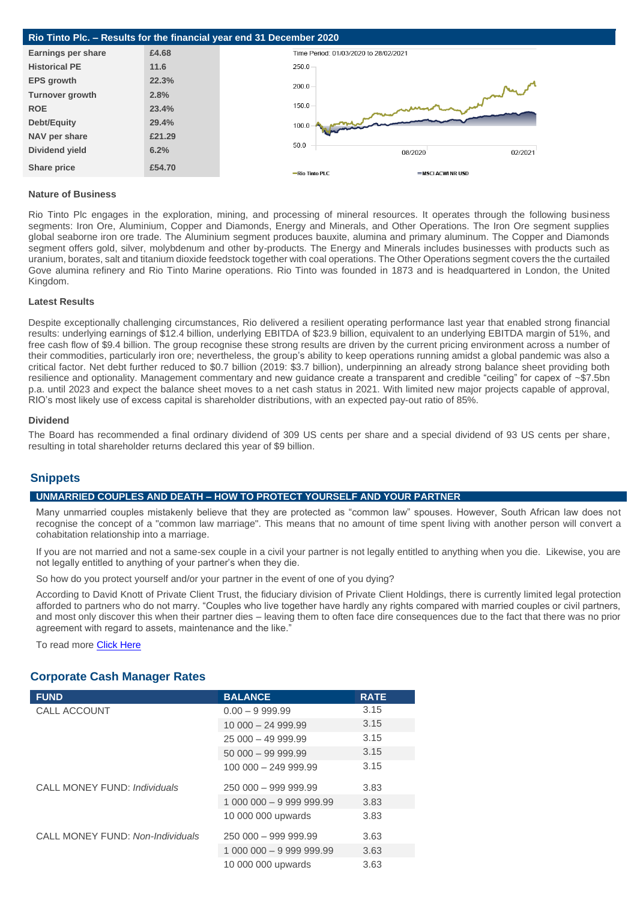| Rio Tinto Plc. - Results for the financial year end 31 December 2020 |        |                                       |                   |         |  |  |
|----------------------------------------------------------------------|--------|---------------------------------------|-------------------|---------|--|--|
| <b>Earnings per share</b>                                            | £4.68  | Time Period: 01/03/2020 to 28/02/2021 |                   |         |  |  |
| <b>Historical PE</b>                                                 | 11.6   | $250.0 -$                             |                   |         |  |  |
| <b>EPS</b> growth                                                    | 22.3%  | $200.0 -$                             |                   |         |  |  |
| <b>Turnover growth</b>                                               | 2.8%   |                                       |                   |         |  |  |
| <b>ROE</b>                                                           | 23.4%  | $150.0 -$                             |                   |         |  |  |
| Debt/Equity                                                          | 29.4%  | 100.0                                 |                   |         |  |  |
| NAV per share                                                        | £21.29 |                                       |                   |         |  |  |
| Dividend yield                                                       | 6.2%   | 50.0                                  | 08/2020           | 02/2021 |  |  |
| Share price                                                          | £54.70 | -Rio Tinto PLC                        | =MSCI ACWI NR USD |         |  |  |

## **Nature of Business**

Rio Tinto Plc engages in the exploration, mining, and processing of mineral resources. It operates through the following business segments: Iron Ore, Aluminium, Copper and Diamonds, Energy and Minerals, and Other Operations. The Iron Ore segment supplies global seaborne iron ore trade. The Aluminium segment produces bauxite, alumina and primary aluminum. The Copper and Diamonds segment offers gold, silver, molybdenum and other by-products. The Energy and Minerals includes businesses with products such as uranium, borates, salt and titanium dioxide feedstock together with coal operations. The Other Operations segment covers the the curtailed Gove alumina refinery and Rio Tinto Marine operations. Rio Tinto was founded in 1873 and is headquartered in London, the United Kingdom.

### **Latest Results**

Despite exceptionally challenging circumstances, Rio delivered a resilient operating performance last year that enabled strong financial results: underlying earnings of \$12.4 billion, underlying EBITDA of \$23.9 billion, equivalent to an underlying EBITDA margin of 51%, and free cash flow of \$9.4 billion. The group recognise these strong results are driven by the current pricing environment across a number of their commodities, particularly iron ore; nevertheless, the group's ability to keep operations running amidst a global pandemic was also a critical factor. Net debt further reduced to \$0.7 billion (2019: \$3.7 billion), underpinning an already strong balance sheet providing both resilience and optionality. Management commentary and new guidance create a transparent and credible "ceiling" for capex of ~\$7.5bn p.a. until 2023 and expect the balance sheet moves to a net cash status in 2021. With limited new major projects capable of approval, RIO's most likely use of excess capital is shareholder distributions, with an expected pay-out ratio of 85%.

#### **Dividend**

The Board has recommended a final ordinary dividend of 309 US cents per share and a special dividend of 93 US cents per share, resulting in total shareholder returns declared this year of \$9 billion.

# **Snippets**

# **UNMARRIED COUPLES AND DEATH – HOW TO PROTECT YOURSELF AND YOUR PARTNER**

Many unmarried couples mistakenly believe that they are protected as "common law" spouses. However, South African law does not recognise the concept of a "common law marriage". This means that no amount of time spent living with another person will convert a cohabitation relationship into a marriage.

If you are not married and not a same-sex couple in a civil your partner is not legally entitled to anything when you die. Likewise, you are not legally entitled to anything of your partner's when they die.

So how do you protect yourself and/or your partner in the event of one of you dying?

According to David Knott of Private Client Trust, the fiduciary division of Private Client Holdings, there is currently limited legal protection afforded to partners who do not marry. "Couples who live together have hardly any rights compared with married couples or civil partners, and most only discover this when their partner dies – leaving them to often face dire consequences due to the fact that there was no prior agreement with regard to assets, maintenance and the like."

To read more [Click Here](https://privateclientholdings.sharepoint.com/sites/Portfolios/Shared%20Documents/PCP/Newsletter/2021/March/Press%20Release%20-%20Cohabiting%20and%20death.pdf)

# **Corporate Cash Manager Rates**

| <b>FUND</b>                      | <b>BALANCE</b>           | <b>RATE</b> |
|----------------------------------|--------------------------|-------------|
| CALL ACCOUNT                     | $0.00 - 9.999.99$        | 3.15        |
|                                  | $10000 - 24999.99$       | 3.15        |
|                                  | $25000 - 4999.99$        | 3.15        |
|                                  | $50000 - 99999.99$       | 3.15        |
|                                  | 100 000 - 249 999.99     | 3.15        |
| CALL MONEY FUND: Individuals     | $250000 - 999999.99$     | 3.83        |
|                                  |                          | 3.83        |
|                                  | 10 000 000 upwards       | 3.83        |
| CALL MONEY FUND: Non-Individuals | $250000 - 999999.99$     | 3.63        |
|                                  | 1 000 000 - 9 999 999.99 | 3.63        |
|                                  | 10 000 000 upwards       | 3.63        |